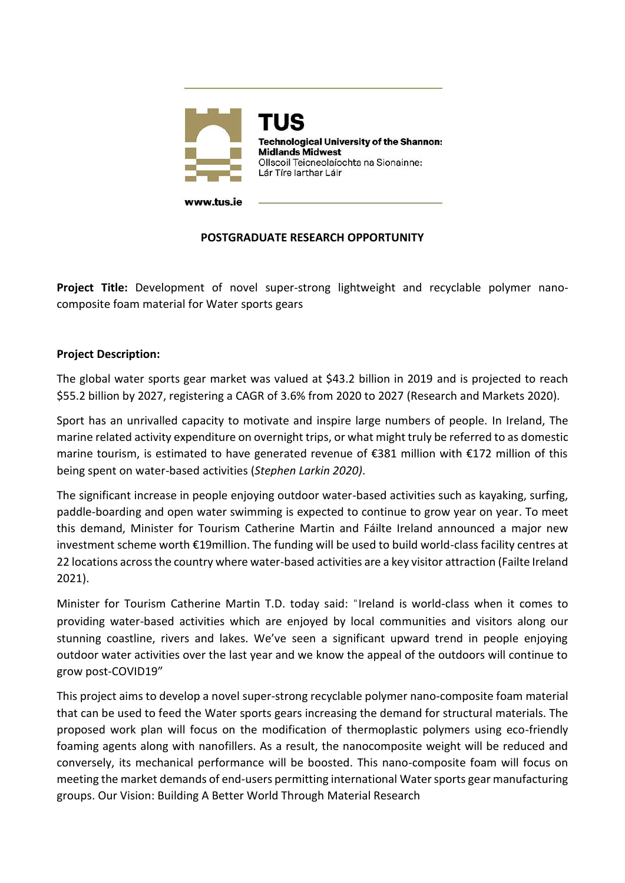

# **POSTGRADUATE RESEARCH OPPORTUNITY**

**Project Title:** Development of novel super-strong lightweight and recyclable polymer nanocomposite foam material for Water sports gears

### **Project Description:**

The global water sports gear market was valued at \$43.2 billion in 2019 and is projected to reach \$55.2 billion by 2027, registering a CAGR of 3.6% from 2020 to 2027 [\(Research and Markets](https://www.globenewswire.com/en/search/organization/Research%2520and%2520Markets) 2020).

Sport has an unrivalled capacity to motivate and inspire large numbers of people. In Ireland, The marine related activity expenditure on overnight trips, or what might truly be referred to as domestic marine tourism, is estimated to have generated revenue of €381 million with €172 million of this being spent on water-based activities (*Stephen Larkin 2020)*.

The significant increase in people enjoying outdoor water-based activities such as kayaking, surfing, paddle-boarding and open water swimming is expected to continue to grow year on year. To meet this demand, Minister for Tourism Catherine Martin and Fáilte Ireland announced a major new investment scheme worth €19million. The funding will be used to build world-class facility centres at 22 locations across the country where water-based activities are a key visitor attraction (Failte Ireland 2021).

Minister for Tourism Catherine Martin T.D. today said: "Ireland is world-class when it comes to providing water-based activities which are enjoyed by local communities and visitors along our stunning coastline, rivers and lakes. We've seen a significant upward trend in people enjoying outdoor water activities over the last year and we know the appeal of the outdoors will continue to grow post-COVID19"

This project aims to develop a novel super-strong recyclable polymer nano-composite foam material that can be used to feed the Water sports gears increasing the demand for structural materials. The proposed work plan will focus on the modification of thermoplastic polymers using eco-friendly foaming agents along with nanofillers. As a result, the nanocomposite weight will be reduced and conversely, its mechanical performance will be boosted. This nano-composite foam will focus on meeting the market demands of end-users permitting international Water sports gear manufacturing groups. Our Vision: Building A Better World Through Material Research